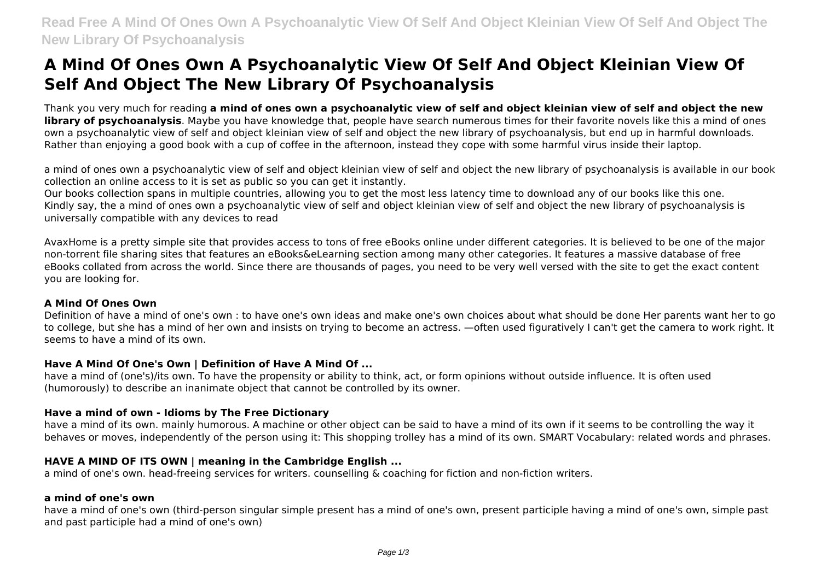# **A Mind Of Ones Own A Psychoanalytic View Of Self And Object Kleinian View Of Self And Object The New Library Of Psychoanalysis**

Thank you very much for reading **a mind of ones own a psychoanalytic view of self and object kleinian view of self and object the new library of psychoanalysis**. Maybe you have knowledge that, people have search numerous times for their favorite novels like this a mind of ones own a psychoanalytic view of self and object kleinian view of self and object the new library of psychoanalysis, but end up in harmful downloads. Rather than enjoying a good book with a cup of coffee in the afternoon, instead they cope with some harmful virus inside their laptop.

a mind of ones own a psychoanalytic view of self and object kleinian view of self and object the new library of psychoanalysis is available in our book collection an online access to it is set as public so you can get it instantly.

Our books collection spans in multiple countries, allowing you to get the most less latency time to download any of our books like this one. Kindly say, the a mind of ones own a psychoanalytic view of self and object kleinian view of self and object the new library of psychoanalysis is universally compatible with any devices to read

AvaxHome is a pretty simple site that provides access to tons of free eBooks online under different categories. It is believed to be one of the major non-torrent file sharing sites that features an eBooks&eLearning section among many other categories. It features a massive database of free eBooks collated from across the world. Since there are thousands of pages, you need to be very well versed with the site to get the exact content you are looking for.

#### **A Mind Of Ones Own**

Definition of have a mind of one's own : to have one's own ideas and make one's own choices about what should be done Her parents want her to go to college, but she has a mind of her own and insists on trying to become an actress. —often used figuratively I can't get the camera to work right. It seems to have a mind of its own.

#### **Have A Mind Of One's Own | Definition of Have A Mind Of ...**

have a mind of (one's)/its own. To have the propensity or ability to think, act, or form opinions without outside influence. It is often used (humorously) to describe an inanimate object that cannot be controlled by its owner.

### **Have a mind of own - Idioms by The Free Dictionary**

have a mind of its own. mainly humorous. A machine or other object can be said to have a mind of its own if it seems to be controlling the way it behaves or moves, independently of the person using it: This shopping trolley has a mind of its own. SMART Vocabulary: related words and phrases.

### **HAVE A MIND OF ITS OWN | meaning in the Cambridge English ...**

a mind of one's own. head-freeing services for writers. counselling & coaching for fiction and non-fiction writers.

#### **a mind of one's own**

have a mind of one's own (third-person singular simple present has a mind of one's own, present participle having a mind of one's own, simple past and past participle had a mind of one's own)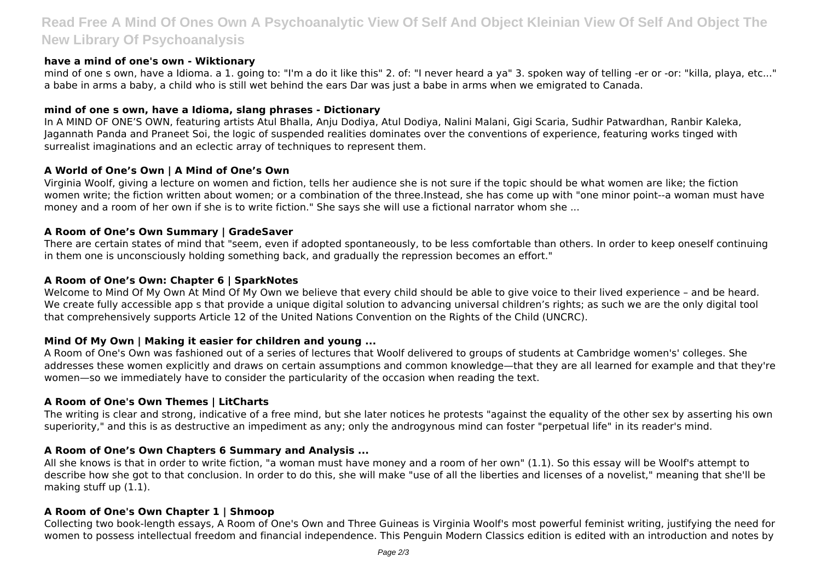# **Read Free A Mind Of Ones Own A Psychoanalytic View Of Self And Object Kleinian View Of Self And Object The New Library Of Psychoanalysis**

#### **have a mind of one's own - Wiktionary**

mind of one s own, have a Idioma. a 1. going to: "I'm a do it like this" 2. of: "I never heard a ya" 3. spoken way of telling -er or -or: "killa, playa, etc..." a babe in arms a baby, a child who is still wet behind the ears Dar was just a babe in arms when we emigrated to Canada.

#### **mind of one s own, have a Idioma, slang phrases - Dictionary**

In A MIND OF ONE'S OWN, featuring artists Atul Bhalla, Anju Dodiya, Atul Dodiya, Nalini Malani, Gigi Scaria, Sudhir Patwardhan, Ranbir Kaleka, Jagannath Panda and Praneet Soi, the logic of suspended realities dominates over the conventions of experience, featuring works tinged with surrealist imaginations and an eclectic array of techniques to represent them.

#### **A World of One's Own | A Mind of One's Own**

Virginia Woolf, giving a lecture on women and fiction, tells her audience she is not sure if the topic should be what women are like; the fiction women write; the fiction written about women; or a combination of the three.Instead, she has come up with "one minor point--a woman must have money and a room of her own if she is to write fiction." She says she will use a fictional narrator whom she ...

#### **A Room of One's Own Summary | GradeSaver**

There are certain states of mind that "seem, even if adopted spontaneously, to be less comfortable than others. In order to keep oneself continuing in them one is unconsciously holding something back, and gradually the repression becomes an effort."

#### **A Room of One's Own: Chapter 6 | SparkNotes**

Welcome to Mind Of My Own At Mind Of My Own we believe that every child should be able to give voice to their lived experience – and be heard. We create fully accessible app s that provide a unique digital solution to advancing universal children's rights; as such we are the only digital tool that comprehensively supports Article 12 of the United Nations Convention on the Rights of the Child (UNCRC).

#### **Mind Of My Own | Making it easier for children and young ...**

A Room of One's Own was fashioned out of a series of lectures that Woolf delivered to groups of students at Cambridge women's' colleges. She addresses these women explicitly and draws on certain assumptions and common knowledge—that they are all learned for example and that they're women—so we immediately have to consider the particularity of the occasion when reading the text.

#### **A Room of One's Own Themes | LitCharts**

The writing is clear and strong, indicative of a free mind, but she later notices he protests "against the equality of the other sex by asserting his own superiority," and this is as destructive an impediment as any; only the androgynous mind can foster "perpetual life" in its reader's mind.

#### **A Room of One's Own Chapters 6 Summary and Analysis ...**

All she knows is that in order to write fiction, "a woman must have money and a room of her own" (1.1). So this essay will be Woolf's attempt to describe how she got to that conclusion. In order to do this, she will make "use of all the liberties and licenses of a novelist," meaning that she'll be making stuff up (1.1).

#### **A Room of One's Own Chapter 1 | Shmoop**

Collecting two book-length essays, A Room of One's Own and Three Guineas is Virginia Woolf's most powerful feminist writing, justifying the need for women to possess intellectual freedom and financial independence. This Penguin Modern Classics edition is edited with an introduction and notes by